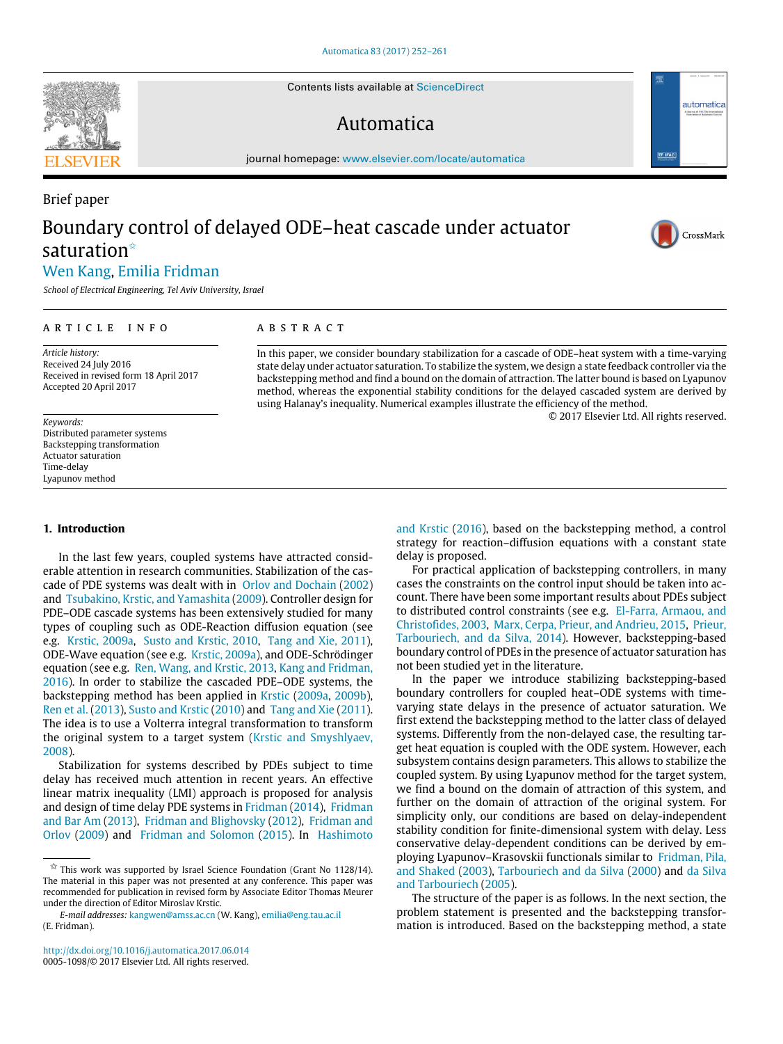Contents lists available at [ScienceDirect](http://www.elsevier.com/locate/automatica)

# Automatica

journal homepage: [www.elsevier.com/locate/automatica](http://www.elsevier.com/locate/automatica)

# Brief paper Boundary control of delayed ODE–heat cascade under actuator saturation<sup>\*</sup>

© 2017 Elsevier Ltd. All rights reserved.



automatica

[Wen](#page-9-0) [Kang,](#page-9-0) [Emilia](#page-9-1) [Fridman](#page-9-1)

*School of Electrical Engineering, Tel Aviv University, Israel*

#### ARTICLE INFO

## A B S T R A C T

*Article history:* Received 24 July 2016 Received in revised form 18 April 2017 Accepted 20 April 2017

#### *Keywords:*

Distributed parameter systems Backstepping transformation Actuator saturation Time-delay Lyapunov method

### **1. Introduction**

In the last few years, coupled systems have attracted considerable attention in research communities. Stabilization of the cascade of PDE systems was dealt with in [Orlov](#page-9-2) [and](#page-9-2) [Dochain](#page-9-2) [\(2002\)](#page-9-2) and [Tsubakino,](#page-9-3) [Krstic,](#page-9-3) [and](#page-9-3) [Yamashita](#page-9-3) [\(2009\)](#page-9-3). Controller design for PDE–ODE cascade systems has been extensively studied for many types of coupling such as ODE-Reaction diffusion equation (see e.g. [Krstic,](#page-9-4) [2009a,](#page-9-4) [Susto](#page-9-5) [and](#page-9-5) [Krstic,](#page-9-5) [2010,](#page-9-5) [Tang](#page-9-6) [and](#page-9-6) [Xie,](#page-9-6) [2011\)](#page-9-6), ODE-Wave equation (see e.g. [Krstic,](#page-9-7) [2009a\)](#page-9-7), and ODE-Schrödinger equation (see e.g. [Ren,](#page-9-8) [Wang,](#page-9-8) [and](#page-9-8) [Krstic,](#page-9-8) [2013,](#page-9-8) [Kang](#page-9-9) [and](#page-9-9) [Fridman,](#page-9-9) [2016\)](#page-9-9). In order to stabilize the cascaded PDE–ODE systems, the backstepping method has been applied in [Krstic](#page-9-4) [\(2009a,](#page-9-4) [2009b\)](#page-9-4), [Ren](#page-9-8) [et](#page-9-8) [al.](#page-9-8) [\(2013\)](#page-9-8), [Susto](#page-9-5) [and](#page-9-5) [Krstic](#page-9-5) [\(2010\)](#page-9-5) and [Tang](#page-9-6) [and](#page-9-6) [Xie](#page-9-6) [\(2011\)](#page-9-6). The idea is to use a Volterra integral transformation to transform the original system to a target system [\(Krstic](#page-9-10) [and](#page-9-10) [Smyshlyaev,](#page-9-10) [2008\)](#page-9-10).

Stabilization for systems described by PDEs subject to time delay has received much attention in recent years. An effective linear matrix inequality (LMI) approach is proposed for analysis and design of time delay PDE systems in [Fridman](#page-9-11) [\(2014\)](#page-9-11), [Fridman](#page-9-12) [and](#page-9-12) [Bar Am](#page-9-12) [\(2013\)](#page-9-12), [Fridman](#page-9-13) [and](#page-9-13) [Blighovsky](#page-9-13) [\(2012\)](#page-9-13), [Fridman](#page-9-14) [and](#page-9-14) [Orlov](#page-9-14) [\(2009\)](#page-9-14) and [Fridman](#page-9-15) [and](#page-9-15) [Solomon](#page-9-15) [\(2015\)](#page-9-15). In [Hashimoto](#page-9-16) [and](#page-9-16) [Krstic](#page-9-16) [\(2016\)](#page-9-16), based on the backstepping method, a control strategy for reaction–diffusion equations with a constant state delay is proposed.

In this paper, we consider boundary stabilization for a cascade of ODE–heat system with a time-varying state delay under actuator saturation. To stabilize the system, we design a state feedback controller via the backstepping method and find a bound on the domain of attraction. The latter bound is based on Lyapunov method, whereas the exponential stability conditions for the delayed cascaded system are derived by

using Halanay's inequality. Numerical examples illustrate the efficiency of the method.

For practical application of backstepping controllers, in many cases the constraints on the control input should be taken into account. There have been some important results about PDEs subject to distributed control constraints (see e.g. [El-Farra,](#page-9-17) [Armaou,](#page-9-17) [and](#page-9-17) [Christofides,](#page-9-17) [2003,](#page-9-17) [Marx,](#page-9-18) [Cerpa,](#page-9-18) [Prieur,](#page-9-18) [and](#page-9-18) [Andrieu,](#page-9-18) [2015,](#page-9-18) [Prieur,](#page-9-19) [Tarbouriech,](#page-9-19) [and](#page-9-19) [da Silva,](#page-9-19) [2014\)](#page-9-19). However, backstepping-based boundary control of PDEs in the presence of actuator saturation has not been studied yet in the literature.

In the paper we introduce stabilizing backstepping-based boundary controllers for coupled heat–ODE systems with timevarying state delays in the presence of actuator saturation. We first extend the backstepping method to the latter class of delayed systems. Differently from the non-delayed case, the resulting target heat equation is coupled with the ODE system. However, each subsystem contains design parameters. This allows to stabilize the coupled system. By using Lyapunov method for the target system, we find a bound on the domain of attraction of this system, and further on the domain of attraction of the original system. For simplicity only, our conditions are based on delay-independent stability condition for finite-dimensional system with delay. Less conservative delay-dependent conditions can be derived by employing Lyapunov–Krasovskii functionals similar to [Fridman,](#page-9-20) [Pila,](#page-9-20) [and](#page-9-20) [Shaked](#page-9-20) [\(2003\)](#page-9-20), [Tarbouriech](#page-9-21) [and](#page-9-21) [da Silva](#page-9-21) [\(2000\)](#page-9-21) and [da Silva](#page-9-22) [and](#page-9-22) [Tarbouriech](#page-9-22) [\(2005\)](#page-9-22).

The structure of the paper is as follows. In the next section, the problem statement is presented and the backstepping transformation is introduced. Based on the backstepping method, a state



<span id="page-0-0"></span> $\overrightarrow{x}$  This work was supported by Israel Science Foundation (Grant No 1128/14). The material in this paper was not presented at any conference. This paper was recommended for publication in revised form by Associate Editor Thomas Meurer under the direction of Editor Miroslav Krstic.

*E-mail addresses:* [kangwen@amss.ac.cn](mailto:kangwen@amss.ac.cn) (W. Kang), [emilia@eng.tau.ac.il](mailto:emilia@eng.tau.ac.il) (E. Fridman).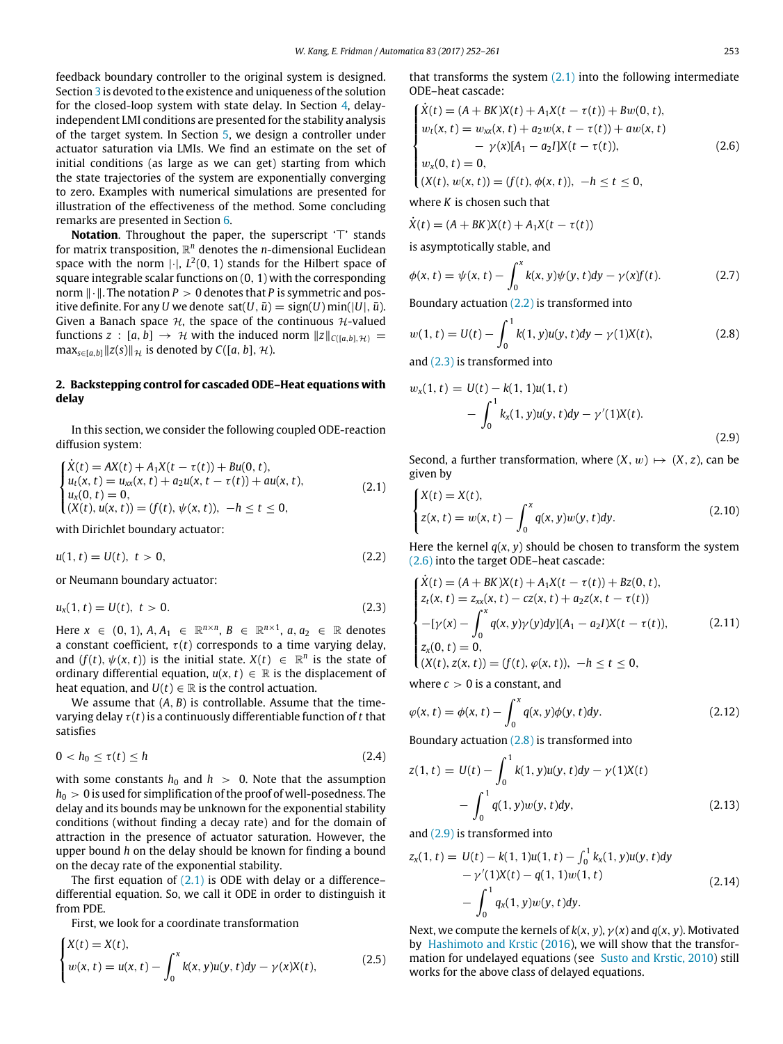feedback boundary controller to the original system is designed. Section [3](#page-3-0) is devoted to the existence and uniqueness of the solution for the closed-loop system with state delay. In Section [4,](#page-4-0) delayindependent LMI conditions are presented for the stability analysis of the target system. In Section [5,](#page-6-0) we design a controller under actuator saturation via LMIs. We find an estimate on the set of initial conditions (as large as we can get) starting from which the state trajectories of the system are exponentially converging to zero. Examples with numerical simulations are presented for illustration of the effectiveness of the method. Some concluding remarks are presented in Section [6.](#page-9-23)

Notation. Throughout the paper, the superscript '⊤' stands for matrix transposition, R *<sup>n</sup>* denotes the *n*-dimensional Euclidean space with the norm  $|\cdot|$ ,  $L^2(0, 1)$  stands for the Hilbert space of square integrable scalar functions on (0, 1) with the corresponding norm ∥·∥. The notation *P* > 0 denotes that *P* is symmetric and positive definite. For any *U* we denote sat(*U*,  $\bar{u}$ ) = sign(*U*) min(|*U*|,  $\bar{u}$ ). Given a Banach space  $H$ , the space of the continuous  $H$ -valued functions *z* :  $[a, b] \rightarrow \mathcal{H}$  with the induced norm  $||z||_{C([a, b], \mathcal{H})}$  = max<sub>*s∈*[*a*,*b*]∥ $z(s)$ ∥ $\mathcal{H}$  is denoted by *C*([*a*, *b*],  $\mathcal{H}$ ).</sub>

# **2. Backstepping control for cascaded ODE–Heat equations with delay**

In this section, we consider the following coupled ODE-reaction diffusion system:

<span id="page-1-0"></span>
$$
\begin{cases}\n\dot{X}(t) = AX(t) + A_1X(t - \tau(t)) + Bu(0, t), \\
u_t(x, t) = u_{xx}(x, t) + a_2u(x, t - \tau(t)) + au(x, t), \\
u_x(0, t) = 0, \\
(X(t), u(x, t)) = (f(t), \psi(x, t)), \quad -h \le t \le 0,\n\end{cases}
$$
\n(2.1)

with Dirichlet boundary actuator:

<span id="page-1-1"></span>
$$
u(1, t) = U(t), \ t > 0,
$$
\n(2.2)

or Neumann boundary actuator:

<span id="page-1-2"></span>
$$
u_x(1, t) = U(t), \ t > 0. \tag{2.3}
$$

Here *x* ∈ (0, 1), *A*, *A*<sub>1</sub> ∈  $\mathbb{R}^{n \times n}$ , *B* ∈  $\mathbb{R}^{n \times 1}$ , *a*, *a*<sub>2</sub> ∈  $\mathbb{R}$  denotes a constant coefficient,  $\tau(t)$  corresponds to a time varying delay, and  $(f(t), \psi(x, t))$  is the initial state.  $X(t) \in \mathbb{R}^n$  is the state of ordinary differential equation,  $u(x, t) \in \mathbb{R}$  is the displacement of heat equation, and  $U(t) \in \mathbb{R}$  is the control actuation.

We assume that  $(A, B)$  is controllable. Assume that the timevarying delay  $\tau(t)$  is a continuously differentiable function of t that satisfies

<span id="page-1-11"></span>
$$
0 < h_0 \le \tau(t) \le h \tag{2.4}
$$

with some constants  $h_0$  and  $h > 0$ . Note that the assumption  $h_0 > 0$  is used for simplification of the proof of well-posedness. The delay and its bounds may be unknown for the exponential stability conditions (without finding a decay rate) and for the domain of attraction in the presence of actuator saturation. However, the upper bound *h* on the delay should be known for finding a bound on the decay rate of the exponential stability.

The first equation of  $(2.1)$  is ODE with delay or a difference– differential equation. So, we call it ODE in order to distinguish it from PDE.

First, we look for a coordinate transformation

<span id="page-1-6"></span>
$$
\begin{cases} X(t) = X(t), \\ w(x, t) = u(x, t) - \int_0^x k(x, y)u(y, t)dy - \gamma(x)X(t), \end{cases}
$$
 (2.5)

that transforms the system  $(2.1)$  into the following intermediate ODE–heat cascade:

<span id="page-1-3"></span>
$$
\begin{cases}\n\dot{X}(t) = (A + BK)X(t) + A_1X(t - \tau(t)) + Bw(0, t), \\
w_t(x, t) = w_{xx}(x, t) + a_2w(x, t - \tau(t)) + aw(x, t) \\
\quad - \gamma(x)[A_1 - a_2I]X(t - \tau(t)), \\
w_x(0, t) = 0, \\
(X(t), w(x, t)) = (f(t), \phi(x, t)), \quad -h \le t \le 0,\n\end{cases}
$$
\n(2.6)

where *K* is chosen such that

 $\dot{X}(t) = (A + BK)X(t) + A_1X(t - \tau(t))$ 

is asymptotically stable, and

$$
\phi(x, t) = \psi(x, t) - \int_0^x k(x, y)\psi(y, t)dy - \gamma(x)f(t).
$$
 (2.7)

Boundary actuation [\(2.2\)](#page-1-1) is transformed into

<span id="page-1-4"></span>
$$
w(1, t) = U(t) - \int_0^1 k(1, y)u(y, t)dy - \gamma(1)X(t),
$$
\n(2.8)

and [\(2.3\)](#page-1-2) is transformed into

<span id="page-1-5"></span>
$$
w_x(1, t) = U(t) - k(1, 1)u(1, t)
$$
  
- 
$$
\int_0^1 k_x(1, y)u(y, t)dy - \gamma'(1)X(t).
$$
 (2.9)

Second, a further transformation, where  $(X, w) \mapsto (X, z)$ , can be given by

<span id="page-1-7"></span>
$$
\begin{cases} X(t) = X(t), \\ z(x, t) = w(x, t) - \int_0^x q(x, y) w(y, t) dy. \end{cases}
$$
 (2.10)

Here the kernel  $q(x, y)$  should be chosen to transform the system [\(2.6\)](#page-1-3) into the target ODE–heat cascade:

<span id="page-1-8"></span>
$$
\begin{cases}\n\dot{X}(t) = (A + BK)X(t) + A_1X(t - \tau(t)) + Bz(0, t), \\
z_t(x, t) = z_{xx}(x, t) - cz(x, t) + a_2z(x, t - \tau(t)) \\
-[y(x) - \int_0^x q(x, y)\gamma(y)dy](A_1 - a_2I)X(t - \tau(t)), \\
z_x(0, t) = 0, \\
(X(t), z(x, t)) = (f(t), \varphi(x, t)), \quad -h \le t \le 0,\n\end{cases}
$$
\n(2.11)

where  $c > 0$  is a constant, and

$$
\varphi(x, t) = \phi(x, t) - \int_0^x q(x, y)\phi(y, t)dy.
$$
 (2.12)

Boundary actuation [\(2.8\)](#page-1-4) is transformed into

<span id="page-1-9"></span>
$$
z(1, t) = U(t) - \int_0^1 k(1, y)u(y, t)dy - \gamma(1)X(t)
$$

$$
- \int_0^1 q(1, y)w(y, t)dy,
$$
(2.13)

and [\(2.9\)](#page-1-5) is transformed into

<span id="page-1-10"></span>
$$
z_x(1, t) = U(t) - k(1, 1)u(1, t) - \int_0^1 k_x(1, y)u(y, t)dy - \gamma'(1)X(t) - q(1, 1)w(1, t) - \int_0^1 q_x(1, y)w(y, t)dy.
$$
 (2.14)

Next, we compute the kernels of  $k(x, y)$ ,  $\gamma(x)$  and  $q(x, y)$ . Motivated by [Hashimoto](#page-9-16) [and](#page-9-16) [Krstic](#page-9-16) [\(2016\)](#page-9-16), we will show that the transformation for undelayed equations (see [Susto](#page-9-5) [and](#page-9-5) [Krstic,](#page-9-5) [2010\)](#page-9-5) still works for the above class of delayed equations.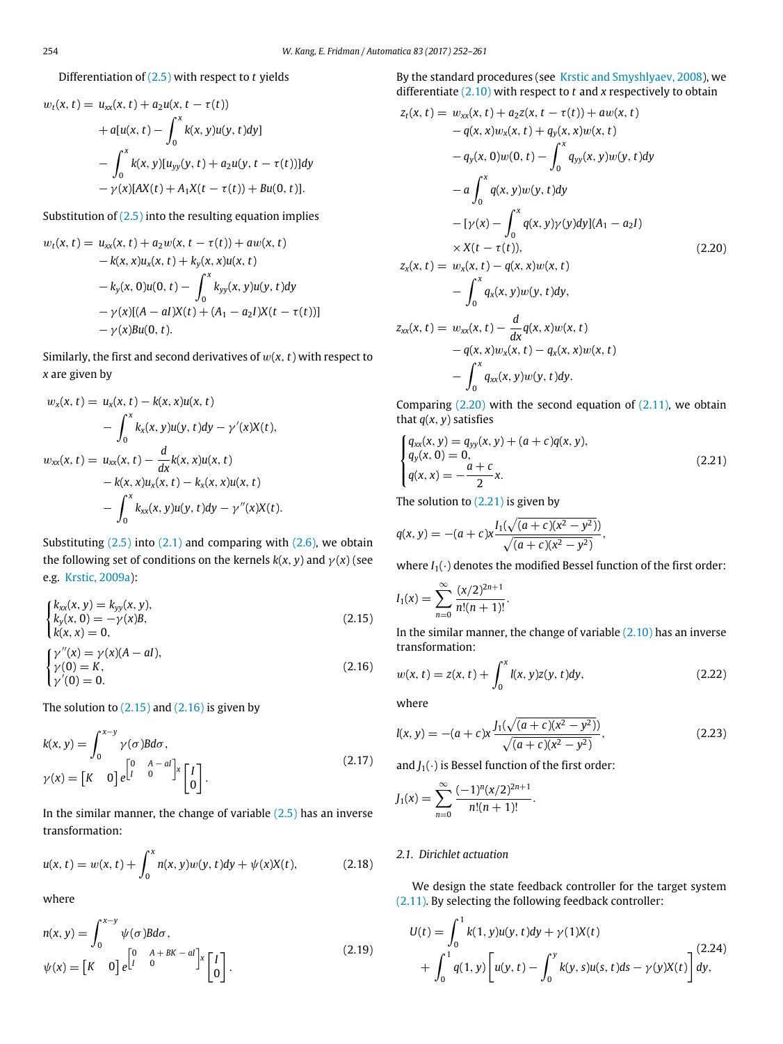# Differentiation of [\(2.5\)](#page-1-6) with respect to *t* yields

$$
w_t(x, t) = u_{xx}(x, t) + a_2 u(x, t - \tau(t))
$$
  
+  $a[u(x, t) - \int_0^x k(x, y)u(y, t)dy]$   
-  $\int_0^x k(x, y)[u_{yy}(y, t) + a_2 u(y, t - \tau(t))]dy$   
-  $\gamma(x)[AX(t) + A_1 X(t - \tau(t)) + Bu(0, t)].$ 

Substitution of  $(2.5)$  into the resulting equation implies

$$
w_t(x, t) = u_{xx}(x, t) + a_2 w(x, t - \tau(t)) + aw(x, t)
$$
  
-  $k(x, x)u_x(x, t) + k_y(x, x)u(x, t)$   
-  $k_y(x, 0)u(0, t) - \int_0^x k_{yy}(x, y)u(y, t)dy$   
-  $\gamma(x)[(A - aI)X(t) + (A_1 - a_2I)X(t - \tau(t))]$   
-  $\gamma(x)Bu(0, t).$ 

Similarly, the first and second derivatives of  $w(x, t)$  with respect to *x* are given by

$$
w_x(x, t) = u_x(x, t) - k(x, x)u(x, t)
$$
  
-  $\int_0^x k_x(x, y)u(y, t)dy - \gamma'(x)X(t),$   

$$
w_{xx}(x, t) = u_{xx}(x, t) - \frac{d}{dx}k(x, x)u(x, t)
$$
  
-  $k(x, x)u_x(x, t) - k_x(x, x)u(x, t)$   
-  $\int_0^x k_{xx}(x, y)u(y, t)dy - \gamma''(x)X(t).$ 

Substituting  $(2.5)$  into  $(2.1)$  and comparing with  $(2.6)$ , we obtain the following set of conditions on the kernels  $k(x, y)$  and  $\gamma(x)$  (see e.g. [Krstic,](#page-9-4) [2009a\)](#page-9-4):

<span id="page-2-0"></span>
$$
\begin{cases}\nk_{xx}(x, y) = k_{yy}(x, y), \\
k_y(x, 0) = -\gamma(x)B, \\
k(x, x) = 0, \\
\gamma''(x) = \gamma(x)(A - aI),\n\end{cases}
$$
\n(2.15)

<span id="page-2-1"></span>
$$
\begin{cases}\n\gamma(0) = K, \\
\gamma'(0) = 0.\n\end{cases}
$$
\n(2.16)

The solution to  $(2.15)$  and  $(2.16)$  is given by

$$
k(x, y) = \int_0^{x-y} \gamma(\sigma) B d\sigma,
$$
  
\n
$$
\gamma(x) = [K \quad 0] e^{\begin{bmatrix} 0 & A - aI \\ I & 0 \end{bmatrix} x} \begin{bmatrix} I \\ 0 \end{bmatrix}.
$$
\n(2.17)

In the similar manner, the change of variable  $(2.5)$  has an inverse transformation:

$$
u(x, t) = w(x, t) + \int_0^x n(x, y)w(y, t)dy + \psi(x)X(t),
$$
 (2.18)

where

<span id="page-2-5"></span>
$$
n(x, y) = \int_0^{x-y} \psi(\sigma) B d\sigma,
$$
  
\n
$$
\psi(x) = \begin{bmatrix} K & 0 \end{bmatrix} e^{\begin{bmatrix} 0 & A + BK - aI \\ 0 & 0 \end{bmatrix} x} \begin{bmatrix} I \\ 0 \end{bmatrix}.
$$
\n(2.19)

By the standard procedures (see [Krstic](#page-9-10) [and](#page-9-10) [Smyshlyaev,](#page-9-10) [2008\)](#page-9-10), we differentiate [\(2.10\)](#page-1-7) with respect to *t* and *x* respectively to obtain

<span id="page-2-2"></span>
$$
z_{t}(x, t) = w_{xx}(x, t) + a_{2}z(x, t - \tau(t)) + aw(x, t)
$$
  
\n
$$
-q(x, x)w_{x}(x, t) + q_{y}(x, x)w(x, t)
$$
  
\n
$$
-q_{y}(x, 0)w(0, t) - \int_{0}^{x} q_{yy}(x, y)w(y, t)dy
$$
  
\n
$$
-a \int_{0}^{x} q(x, y)w(y, t)dy
$$
  
\n
$$
-[\gamma(x) - \int_{0}^{x} q(x, y)\gamma(y)dy](A_{1} - a_{2}I)
$$
  
\n
$$
\times X(t - \tau(t)),
$$
  
\n
$$
z_{x}(x, t) = w_{x}(x, t) - q(x, x)w(x, t)
$$
  
\n
$$
- \int_{0}^{x} q_{x}(x, y)w(y, t)dy,
$$
  
\n
$$
z_{xx}(x, t) = w_{xx}(x, t) - \frac{d}{dx}q(x, x)w(x, t)
$$
  
\n
$$
-q(x, x)w_{x}(x, t) - q_{x}(x, x)w(x, t)
$$
  
\n
$$
- \int_{0}^{x} q_{xx}(x, y)w(y, t)dy.
$$

Comparing  $(2.20)$  with the second equation of  $(2.11)$ , we obtain that  $q(x, y)$  satisfies

<span id="page-2-3"></span>
$$
\begin{cases}\n q_{xx}(x, y) = q_{yy}(x, y) + (a + c)q(x, y), \\
 q_y(x, 0) = 0, \\
 q(x, x) = -\frac{a + c}{2}x.\n\end{cases}
$$
\n(2.21)

The solution to  $(2.21)$  is given by

$$
q(x, y) = -(a + c)x \frac{I_1(\sqrt{(a + c)(x^2 - y^2)})}{\sqrt{(a + c)(x^2 - y^2)}},
$$

where  $I_1(\cdot)$  denotes the modified Bessel function of the first order:

$$
I_1(x) = \sum_{n=0}^{\infty} \frac{(x/2)^{2n+1}}{n!(n+1)!}.
$$

In the similar manner, the change of variable  $(2.10)$  has an inverse transformation:

$$
w(x, t) = z(x, t) + \int_0^x l(x, y)z(y, t)dy,
$$
\n(2.22)

where

<span id="page-2-6"></span>
$$
l(x, y) = -(a + c)x \frac{J_1(\sqrt{(a + c)(x^2 - y^2)})}{\sqrt{(a + c)(x^2 - y^2)}},
$$
\n(2.23)

and  $J_1(\cdot)$  is Bessel function of the first order:

$$
J_1(x) = \sum_{n=0}^{\infty} \frac{(-1)^n (x/2)^{2n+1}}{n!(n+1)!}.
$$

# *2.1. Dirichlet actuation*

We design the state feedback controller for the target system [\(2.11\).](#page-1-8) By selecting the following feedback controller:

<span id="page-2-4"></span>
$$
U(t) = \int_0^1 k(1, y)u(y, t)dy + \gamma(1)X(t)
$$
  
+ 
$$
\int_0^1 q(1, y) \left[ u(y, t) - \int_0^y k(y, s)u(s, t)ds - \gamma(y)X(t) \right] dy,
$$
 (2.24)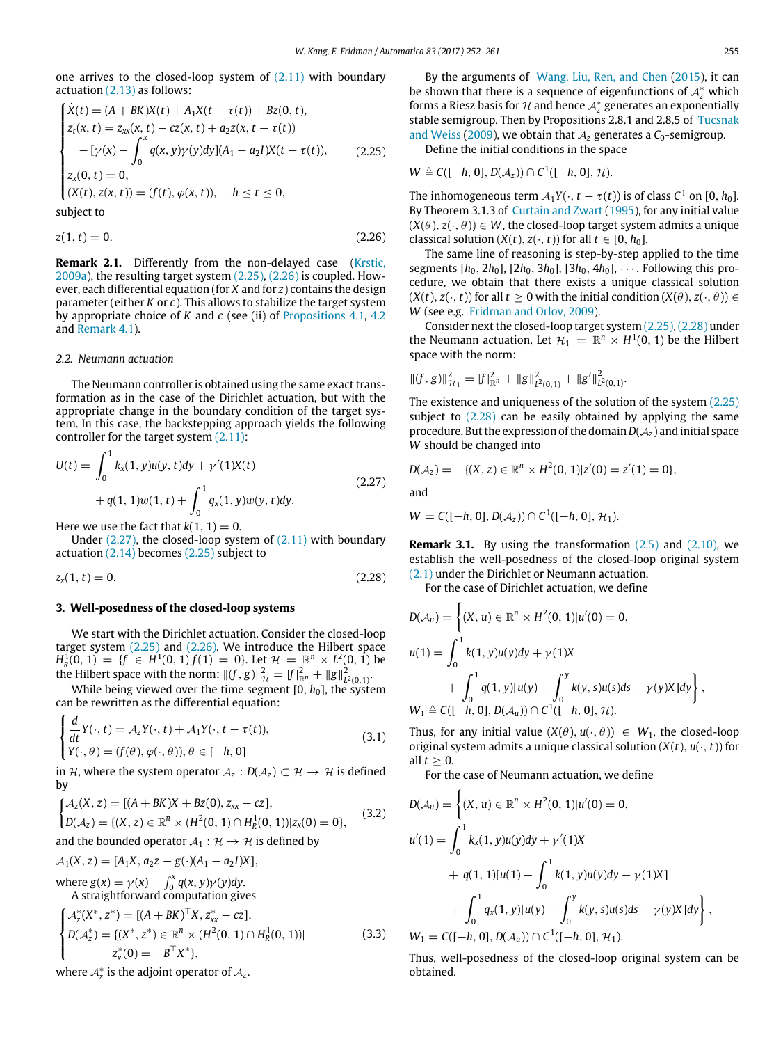one arrives to the closed-loop system of [\(2.11\)](#page-1-8) with boundary actuation [\(2.13\)](#page-1-9) as follows:

<span id="page-3-1"></span>
$$
\begin{cases}\n\dot{X}(t) = (A + BK)X(t) + A_1X(t - \tau(t)) + Bz(0, t), \\
z_t(x, t) = z_{xx}(x, t) - cz(x, t) + a_2z(x, t - \tau(t)) \\
-[y(x) - \int_0^x q(x, y)\gamma(y)dy](A_1 - a_2I)X(t - \tau(t)), \\
z_x(0, t) = 0, \\
(X(t), z(x, t)) = (f(t), \varphi(x, t)), \quad -h \le t \le 0,\n\end{cases}
$$
\n(2.25)

subject to

<span id="page-3-2"></span>
$$
z(1, t) = 0. \t\t(2.26)
$$

**Remark 2.1.** Differently from the non-delayed case [\(Krstic,](#page-9-4) [2009a\)](#page-9-4), the resulting target system [\(2.25\),](#page-3-1) [\(2.26\)](#page-3-2) is coupled. However, each differential equation (for *X* and for *z*) contains the design parameter (either *K* or *c*). This allows to stabilize the target system by appropriate choice of *K* and *c* (see (ii) of [Propositions 4.1,](#page-4-1) [4.2](#page-5-0) and [Remark 4.1\)](#page-5-1).

#### *2.2. Neumann actuation*

The Neumann controller is obtained using the same exact transformation as in the case of the Dirichlet actuation, but with the appropriate change in the boundary condition of the target system. In this case, the backstepping approach yields the following controller for the target system [\(2.11\):](#page-1-8)

<span id="page-3-3"></span>
$$
U(t) = \int_0^1 k_x(1, y)u(y, t)dy + \gamma'(1)X(t)
$$
  
+ $q(1, 1)w(1, t) + \int_0^1 q_x(1, y)w(y, t)dy.$  (2.27)

Here we use the fact that  $k(1, 1) = 0$ .

Under [\(2.27\),](#page-3-3) the closed-loop system of [\(2.11\)](#page-1-8) with boundary actuation [\(2.14\)](#page-1-10) becomes [\(2.25\)](#page-3-1) subject to

<span id="page-3-4"></span>
$$
z_x(1,t) = 0. \t(2.28)
$$

#### <span id="page-3-0"></span>**3. Well-posedness of the closed-loop systems**

We start with the Dirichlet actuation. Consider the closed-loop target system [\(2.25\)](#page-3-1) and [\(2.26\).](#page-3-2) We introduce the Hilbert space  $H_R^1(0, 1) = \{f \in H^1(0, 1)|f(1) = 0\}$ . Let  $\mathcal{H} = \mathbb{R}^n \times L^2(0, 1)$  be the Hilbert space with the norm:  $||(f, g)||_{\mathcal{H}}^2 = |f|_{\mathbb{R}^n}^2 + ||g||_{L^2(0,1)}^2$ .

While being viewed over the time segment  $[0, h_0]$ , the system can be rewritten as the differential equation:

$$
\begin{cases}\n\frac{d}{dt}Y(\cdot, t) = \mathcal{A}_z Y(\cdot, t) + \mathcal{A}_1 Y(\cdot, t - \tau(t)), \\
Y(\cdot, \theta) = (f(\theta), \varphi(\cdot, \theta)), \theta \in [-h, 0]\n\end{cases}
$$
\n(3.1)

in H, where the system operator  $A_z: D(A_z) \subset \mathcal{H} \to \mathcal{H}$  is defined by

$$
\begin{cases} \mathcal{A}_z(X, z) = [(A + BK)X + Bz(0), z_{xx} - cz], \\ D(\mathcal{A}_z) = \{(X, z) \in \mathbb{R}^n \times (H^2(0, 1) \cap H_R^1(0, 1)) | z_x(0) = 0 \}, \end{cases}
$$
(3.2)

and the bounded operator  $A_1 : \mathcal{H} \to \mathcal{H}$  is defined by

$$
A_1(X, z) = [A_1X, a_2z - g(\cdot)(A_1 - a_2I)X],
$$

where  $g(x) = \gamma(x) - \int_0^x q(x, y) \gamma(y) dy$ . A straightforward computation gives

$$
\begin{cases}\n\mathcal{A}_z^*(X^*, z^*) = \left[ (A + BK)^{\top} X, z_{xx}^* - cz \right], \\
D(\mathcal{A}_z^*) = \left\{ (X^*, z^*) \in \mathbb{R}^n \times (H^2(0, 1) \cap H_R^1(0, 1)) \right\} \\
z_x^*(0) = -B^{\top} X^* \},\n\end{cases} \tag{3.3}
$$

where  $\mathcal{A}_z^*$  is the adjoint operator of  $\mathcal{A}_z$ .

By the arguments of [Wang,](#page-9-24) [Liu,](#page-9-24) [Ren,](#page-9-24) [and](#page-9-24) [Chen](#page-9-24) [\(2015\)](#page-9-24), it can be shown that there is a sequence of eigenfunctions of  $A_z^*$  which forms a Riesz basis for  $H$  and hence  $A_2^*$  generates an exponentially stable semigroup. Then by Propositions 2.8.1 and 2.8.5 of [Tucsnak](#page-9-25) [and](#page-9-25) [Weiss](#page-9-25) [\(2009\)](#page-9-25), we obtain that  $A<sub>z</sub>$  generates a  $C<sub>0</sub>$ -semigroup.

Define the initial conditions in the space

$$
W \triangleq C([-h, 0], D(\mathcal{A}_z)) \cap C^1([-h, 0], \mathcal{H}).
$$

The inhomogeneous term  $A_1Y(\cdot, t - \tau(t))$  is of class  $C^1$  on  $[0, h_0]$ . By Theorem 3.1.3 of [Curtain](#page-9-26) [and](#page-9-26) [Zwart](#page-9-26) [\(1995\)](#page-9-26), for any initial value  $(X(\theta), z(\cdot, \theta)) \in W$ , the closed-loop target system admits a unique classical solution  $(X(t), z(\cdot, t))$  for all  $t \in [0, h_0]$ .

The same line of reasoning is step-by-step applied to the time segments  $[h_0, 2h_0]$ ,  $[2h_0, 3h_0]$ ,  $[3h_0, 4h_0]$ ,  $\cdots$ . Following this procedure, we obtain that there exists a unique classical solution  $(X(t), z(\cdot, t))$  for all  $t \geq 0$  with the initial condition  $(X(\theta), z(\cdot, \theta)) \in$ *W* (see e.g. [Fridman](#page-9-14) [and](#page-9-14) [Orlov,](#page-9-14) [2009\)](#page-9-14).

Consider next the closed-loop target system [\(2.25\),](#page-3-1)[\(2.28\)](#page-3-4) under the Neumann actuation. Let  $\mathcal{H}_1 = \mathbb{R}^n \times H^1(0, 1)$  be the Hilbert space with the norm:

$$
||(f,g)||_{\mathcal{H}_1}^2 = |f|_{\mathbb{R}^n}^2 + ||g||_{L^2(0,1)}^2 + ||g'||_{L^2(0,1)}^2.
$$

The existence and uniqueness of the solution of the system [\(2.25\)](#page-3-1) subject to  $(2.28)$  can be easily obtained by applying the same procedure. But the expression of the domain  $D(A_z)$  and initial space *W* should be changed into

$$
D(\mathcal{A}_z) = \{ (X, z) \in \mathbb{R}^n \times H^2(0, 1) | z'(0) = z'(1) = 0 \},
$$

and

*W* = *C*([−*h*, 0], *D*( $A_z$ )) ∩ *C*<sup>1</sup>([−*h*, 0],  $H_1$ ).

**Remark 3.1.** By using the transformation  $(2.5)$  and  $(2.10)$ , we establish the well-posedness of the closed-loop original system [\(2.1\)](#page-1-0) under the Dirichlet or Neumann actuation.

For the case of Dirichlet actuation, we define

$$
D(\mathcal{A}_u) = \left\{ (X, u) \in \mathbb{R}^n \times H^2(0, 1) | u'(0) = 0, u(1) = \int_0^1 k(1, y) u(y) dy + \gamma(1) X + \int_0^1 q(1, y) [u(y) - \int_0^y k(y, s) u(s) ds - \gamma(y) X] dy \right\}, W_1 \triangleq C([-h, 0], D(\mathcal{A}_u)) \cap C^1([-h, 0], \mathcal{H}).
$$

Thus, for any initial value  $(X(\theta), u(\cdot, \theta)) \in W_1$ , the closed-loop original system admits a unique classical solution  $(X(t), u(\cdot, t))$  for all  $t > 0$ .

For the case of Neumann actuation, we define

$$
D(\mathcal{A}_u) = \left\{ (X, u) \in \mathbb{R}^n \times H^2(0, 1) | u'(0) = 0, u'(1) = \int_0^1 k_x(1, y) u(y) dy + \gamma'(1) X + q(1, 1) [u(1) - \int_0^1 k(1, y) u(y) dy - \gamma(1) X] + \int_0^1 q_x(1, y) [u(y) - \int_0^y k(y, s) u(s) ds - \gamma(y) X] dy \right\}, W_1 = C([-h, 0], D(\mathcal{A}_u)) \cap C^1([-h, 0], \mathcal{H}_1).
$$

Thus, well-posedness of the closed-loop original system can be obtained.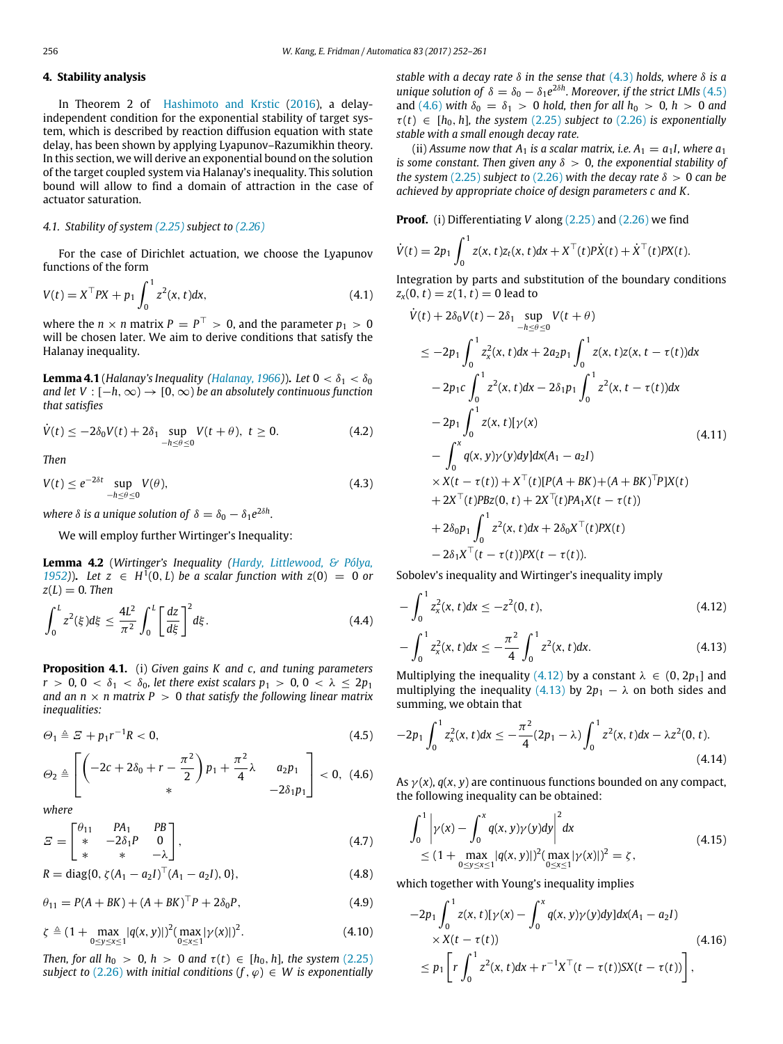# <span id="page-4-0"></span>**4. Stability analysis**

In Theorem 2 of [Hashimoto](#page-9-16) [and](#page-9-16) [Krstic](#page-9-16) [\(2016\)](#page-9-16), a delayindependent condition for the exponential stability of target system, which is described by reaction diffusion equation with state delay, has been shown by applying Lyapunov–Razumikhin theory. In this section, we will derive an exponential bound on the solution of the target coupled system via Halanay's inequality. This solution bound will allow to find a domain of attraction in the case of actuator saturation.

### *4.1. Stability of system [\(2.25\)](#page-3-1) subject to [\(2.26\)](#page-3-2)*

For the case of Dirichlet actuation, we choose the Lyapunov functions of the form

<span id="page-4-10"></span>
$$
V(t) = X^{\top} P X + p_1 \int_0^1 z^2(x, t) dx,
$$
\n(4.1)

where the  $n \times n$  matrix  $P = P^{\top} > 0$ , and the parameter  $p_1 > 0$ will be chosen later. We aim to derive conditions that satisfy the Halanay inequality.

**Lemma 4.1** (*Halanay's Inequality [\(Halanay,](#page-9-27) [1966\)](#page-9-27)*). *Let*  $0 < \delta_1 < \delta_0$ *and let V* :  $[-h, \infty) \rightarrow [0, \infty)$  *be an absolutely continuous function that satisfies*

$$
\dot{V}(t) \le -2\delta_0 V(t) + 2\delta_1 \sup_{-h \le \theta \le 0} V(t + \theta), \ t \ge 0. \tag{4.2}
$$

*Then*

<span id="page-4-2"></span>
$$
V(t) \le e^{-2\delta t} \sup_{-h \le \theta \le 0} V(\theta), \tag{4.3}
$$

where  $\delta$  is a unique solution of  $\delta = \delta_0 - \delta_1 e^{2\delta h}$ .

We will employ further Wirtinger's Inequality:

**Lemma 4.2** (*Wirtinger's Inequality [\(Hardy,](#page-9-28) [Littlewood,](#page-9-28) [&](#page-9-28) [Pólya,](#page-9-28) 1952*)). Let *z* ∈ *H*<sup>1</sup>(0, *L*) *be a scalar function with*  $z$ (0) = 0 *or*  $z(L) = 0$ . Then

$$
\int_0^L z^2(\xi)d\xi \le \frac{4L^2}{\pi^2} \int_0^L \left[\frac{dz}{d\xi}\right]^2 d\xi.
$$
 (4.4)

<span id="page-4-1"></span>**Proposition 4.1.** (i) *Given gains K and c, and tuning parameters r* > 0, 0 <  $\delta_1$  <  $\delta_0$ , let there exist scalars  $p_1$  > 0, 0 <  $\lambda \leq 2p_1$ *and an n*  $\times$  *n* matrix *P*  $>$  0 *that satisfy the following linear matrix inequalities:*

<span id="page-4-3"></span>
$$
\Theta_1 \triangleq \varXi + p_1 r^{-1} R < 0,\tag{4.5}
$$

<span id="page-4-4"></span>
$$
\Theta_2 \triangleq \left[ \left( -2c + 2\delta_0 + r - \frac{\pi^2}{2} \right) p_1 + \frac{\pi^2}{4} \lambda \quad a_2 p_1 \\ -2\delta_1 p_1 \right] < 0, \ (4.6)
$$

*where*

<span id="page-4-11"></span>
$$
E = \begin{bmatrix} \theta_{11} & PA_1 & PB \\ * & -2\delta_1 P & 0 \\ * & * & -\lambda \end{bmatrix},
$$
 (4.7)

<span id="page-4-12"></span>
$$
R = \text{diag}\{0, \zeta (A_1 - a_2 I)^{\top} (A_1 - a_2 I), 0\},\tag{4.8}
$$

 $\theta_{11} = P(A + BK) + (A + BK)^{\top} P + 2\delta_0 P,$  (4.9)

<span id="page-4-13"></span>
$$
\zeta \triangleq (1 + \max_{0 \le y \le x \le 1} |q(x, y)|)^2 (\max_{0 \le x \le 1} |\gamma(x)|)^2.
$$
 (4.10)

*Then, for all*  $h_0 > 0$ ,  $h > 0$  *and*  $\tau(t) \in [h_0, h]$ , the system [\(2.25\)](#page-3-1) *subject to* [\(2.26\)](#page-3-2) *with initial conditions*  $(f, \varphi) \in W$  *is exponentially* 

*stable with a decay rate* δ *in the sense that* [\(4.3\)](#page-4-2) *holds, where* δ *is a unique solution of*  $\delta = \delta_0 - \delta_1 e^{2\delta h}$ *. Moreover, if the strict LMIs* [\(4.5\)](#page-4-3) and [\(4.6\)](#page-4-4) with  $\delta_0 = \delta_1 > 0$  *hold, then for all h*<sub>0</sub> > 0*, h* > 0 *and*  $\tau(t) \in [h_0, h]$ , the system [\(2.25\)](#page-3-1) subject to [\(2.26\)](#page-3-2) is exponentially *stable with a small enough decay rate.*

(ii) *Assume now that*  $A_1$  *is a scalar matrix, i.e.*  $A_1 = a_1 I$ *, where*  $a_1$ *is some constant. Then given any*  $\delta > 0$ , the exponential stability of *the system* [\(2.25\)](#page-3-1) *subject to* [\(2.26\)](#page-3-2) *with the decay rate*  $\delta > 0$  *can be achieved by appropriate choice of design parameters c and K .*

**Proof.** (i) Differentiating *V* along (2.25) and (2.26) we find  
\n
$$
\dot{V}(t) = 2p_1 \int_0^1 z(x, t) z_t(x, t) dx + X^\top(t) P \dot{X}(t) + \dot{X}^\top(t) P X(t).
$$

Integration by parts and substitution of the boundary conditions  $z_x(0, t) = z(1, t) = 0$  lead to

<span id="page-4-9"></span>
$$
\dot{V}(t) + 2\delta_0 V(t) - 2\delta_1 \sup_{-h \le \theta \le 0} V(t + \theta)
$$
\n
$$
\le -2p_1 \int_0^1 z_x^2(x, t) dx + 2a_2 p_1 \int_0^1 z(x, t) z(x, t - \tau(t)) dx
$$
\n
$$
-2p_1 c \int_0^1 z^2(x, t) dx - 2\delta_1 p_1 \int_0^1 z^2(x, t - \tau(t)) dx
$$
\n
$$
-2p_1 \int_0^1 z(x, t) [\gamma(x) \qquad (4.11)
$$
\n
$$
- \int_0^x q(x, y) \gamma(y) dy] dx (A_1 - a_2 I)
$$
\n
$$
\times X(t - \tau(t)) + X^{\top}(t) [P(A + BK) + (A + BK)^{\top} P] X(t)
$$
\n
$$
+ 2X^{\top}(t) P B z(0, t) + 2X^{\top}(t) P A_1 X(t - \tau(t))
$$
\n
$$
+ 2\delta_0 p_1 \int_0^1 z^2(x, t) dx + 2\delta_0 X^{\top}(t) P X(t)
$$
\n
$$
-2\delta_1 X^{\top}(t - \tau(t)) P X(t - \tau(t)).
$$

Sobolev's inequality and Wirtinger's inequality imply

<span id="page-4-5"></span>
$$
-\int_0^1 z_x^2(x,t)dx \le -z^2(0,t),
$$
\n(4.12)

<span id="page-4-6"></span>
$$
-\int_0^1 z_x^2(x,t)dx \le -\frac{\pi^2}{4} \int_0^1 z^2(x,t)dx.
$$
 (4.13)

Multiplying the inequality [\(4.12\)](#page-4-5) by a constant  $\lambda \in (0, 2p_1]$  and multiplying the inequality [\(4.13\)](#page-4-6) by  $2p_1 - \lambda$  on both sides and summing, we obtain that

<span id="page-4-7"></span>
$$
-2p_1 \int_0^1 z_x^2(x,t) dx \le -\frac{\pi^2}{4} (2p_1 - \lambda) \int_0^1 z^2(x,t) dx - \lambda z^2(0,t). \tag{4.14}
$$

As  $\gamma(x)$ ,  $q(x, y)$  are continuous functions bounded on any compact, the following inequality can be obtained:

$$
\int_0^1 \left| \gamma(x) - \int_0^x q(x, y) \gamma(y) dy \right|^2 dx
$$
\n
$$
\leq (1 + \max_{0 \leq y \leq x \leq 1} |q(x, y)|)^2 (\max_{0 \leq x \leq 1} |\gamma(x)|)^2 = \zeta,
$$
\n(4.15)

which together with Young's inequality implies

<span id="page-4-8"></span>
$$
-2p_1 \int_0^1 z(x, t)[\gamma(x) - \int_0^x q(x, y)\gamma(y)dy]dx(A_1 - a_2I)
$$
  
× X(t - \tau(t)) (4.16)  

$$
\leq p_1 \left[ r \int_0^1 z^2(x, t) dx + r^{-1} X^\top(t - \tau(t))SX(t - \tau(t)) \right],
$$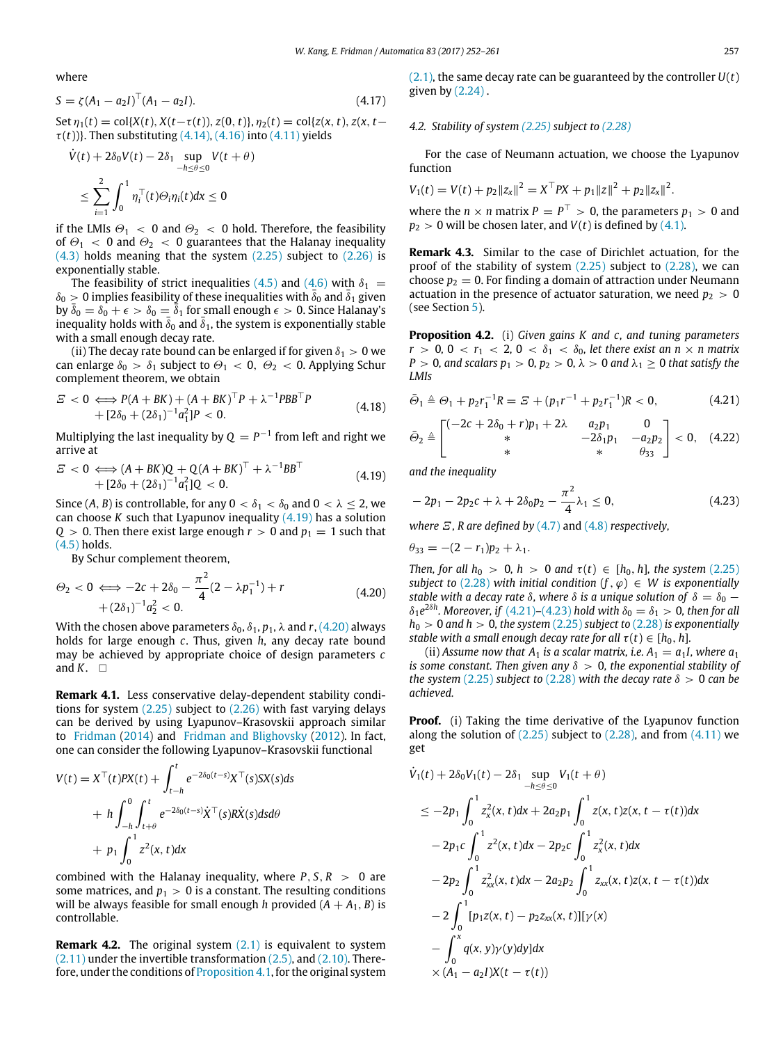where

<span id="page-5-6"></span>
$$
S = \zeta (A_1 - a_2 I)^{\top} (A_1 - a_2 I). \tag{4.17}
$$

Set  $\eta_1(t) = \text{col}\{X(t), X(t-\tau(t)), Z(0, t)\}, \eta_2(t) = \text{col}\{Z(x, t), Z(x, t)$  $\tau(t)$ )}. Then substituting [\(4.14\),](#page-4-7) [\(4.16\)](#page-4-8) into [\(4.11\)](#page-4-9) yields

$$
\dot{V}(t) + 2\delta_0 V(t) - 2\delta_1 \sup_{-h \le \theta \le 0} V(t + \theta)
$$
  

$$
\le \sum_{i=1}^2 \int_0^1 \eta_i^{\top}(t) \Theta_i \eta_i(t) dx \le 0
$$

if the LMIs  $\Theta_1$  < 0 and  $\Theta_2$  < 0 hold. Therefore, the feasibility of  $\Theta_1$  < 0 and  $\Theta_2$  < 0 guarantees that the Halanay inequality [\(4.3\)](#page-4-2) holds meaning that the system [\(2.25\)](#page-3-1) subject to [\(2.26\)](#page-3-2) is exponentially stable.

The feasibility of strict inequalities [\(4.5\)](#page-4-3) and [\(4.6\)](#page-4-4) with  $\delta_1$  =  $\delta_0 > 0$  implies feasibility of these inequalities with  $\bar{\delta}_0$  and  $\bar{\delta}_1$  given by  $\bar{\delta}_0 = \delta_0 + \epsilon > \delta_0 = \bar{\bar{\delta}}_1$  for small enough  $\epsilon > 0$ . Since Halanay's inequality holds with  $\bar{\delta}_0$  and  $\bar{\delta}_1$ , the system is exponentially stable with a small enough decay rate.

(ii) The decay rate bound can be enlarged if for given  $\delta_1 > 0$  we can enlarge  $\delta_0 > \delta_1$  subject to  $\Theta_1 < 0$ ,  $\Theta_2 < 0$ . Applying Schur complement theorem, we obtain

$$
E < 0 \Longleftrightarrow P(A + BK) + (A + BK)^{\top} P + \lambda^{-1} P B B^{\top} P + [2\delta_0 + (2\delta_1)^{-1} a_1^2] P < 0.
$$
 (4.18)

Multiplying the last inequality by  $Q = P^{-1}$  from left and right we arrive at

<span id="page-5-2"></span>
$$
E < 0 \Longleftrightarrow (A + BK)Q + Q(A + BK)^{\top} + \lambda^{-1}BB^{\top}
$$
  
+ 
$$
[2\delta_0 + (2\delta_1)^{-1}a_1^2]Q < 0.
$$
 (4.19)

Since  $(A, B)$  is controllable, for any  $0 < \delta_1 < \delta_0$  and  $0 < \lambda \leq 2$ , we can choose *K* such that Lyapunov inequality [\(4.19\)](#page-5-2) has a solution  $Q > 0$ . Then there exist large enough  $r > 0$  and  $p_1 = 1$  such that [\(4.5\)](#page-4-3) holds.

By Schur complement theorem,

<span id="page-5-3"></span>
$$
\Theta_2 < 0 \iff -2c + 2\delta_0 - \frac{\pi^2}{4}(2 - \lambda p_1^{-1}) + r \\
 \quad + (2\delta_1)^{-1}a_2^2 < 0.\n \tag{4.20}
$$

With the chosen above parameters  $\delta_0$ ,  $\delta_1$ ,  $p_1$ ,  $\lambda$  and  $r$ , [\(4.20\)](#page-5-3) always holds for large enough *c*. Thus, given *h*, any decay rate bound may be achieved by appropriate choice of design parameters *c* and  $K$ .  $\square$ 

<span id="page-5-1"></span>**Remark 4.1.** Less conservative delay-dependent stability conditions for system [\(2.25\)](#page-3-1) subject to [\(2.26\)](#page-3-2) with fast varying delays can be derived by using Lyapunov–Krasovskii approach similar to [Fridman](#page-9-11) [\(2014\)](#page-9-11) and [Fridman](#page-9-13) [and](#page-9-13) [Blighovsky](#page-9-13) [\(2012\)](#page-9-13). In fact, one can consider the following Lyapunov–Krasovskii functional

$$
V(t) = X^{\top}(t)PX(t) + \int_{t-h}^{t} e^{-2\delta_0(t-s)}X^{\top}(s)SX(s)ds
$$
  
+ 
$$
h \int_{-h}^{0} \int_{t+\theta}^{t} e^{-2\delta_0(t-s)}\dot{X}^{\top}(s)R\dot{X}(s)dsd\theta
$$
  
+ 
$$
p_1 \int_{0}^{1} z^2(x,t)dx
$$

combined with the Halanay inequality, where  $P, S, R > 0$  are some matrices, and  $p_1 > 0$  is a constant. The resulting conditions will be always feasible for small enough *h* provided  $(A + A_1, B)$  is controllable.

**Remark 4.2.** The original system  $(2.1)$  is equivalent to system  $(2.11)$  under the invertible transformation  $(2.5)$ , and  $(2.10)$ . Therefore, under the conditions of [Proposition 4.1,](#page-4-1) for the original system [\(2.1\),](#page-1-0) the same decay rate can be guaranteed by the controller *U*(*t*) given by [\(2.24\)](#page-2-4) .

# *4.2. Stability of system [\(2.25\)](#page-3-1) subject to [\(2.28\)](#page-3-4)*

For the case of Neumann actuation, we choose the Lyapunov function

$$
V_1(t) = V(t) + p_2 ||z_x||^2 = X^\top PX + p_1 ||z||^2 + p_2 ||z_x||^2.
$$

where the  $n \times n$  matrix  $P = P^{\top} > 0$ , the parameters  $p_1 > 0$  and  $p_2 > 0$  will be chosen later, and  $V(t)$  is defined by [\(4.1\).](#page-4-10)

**Remark 4.3.** Similar to the case of Dirichlet actuation, for the proof of the stability of system [\(2.25\)](#page-3-1) subject to [\(2.28\),](#page-3-4) we can choose  $p_2 = 0$ . For finding a domain of attraction under Neumann actuation in the presence of actuator saturation, we need  $p_2 > 0$ (see Section [5\)](#page-6-0).

<span id="page-5-0"></span>**Proposition 4.2.** (i) *Given gains K and c, and tuning parameters*  $r > 0$ ,  $0 < r_1 < 2$ ,  $0 < \delta_1 < \delta_0$ , let there exist an  $n \times n$  matrix *P* > 0*, and scalars*  $p_1$  *> 0<i>,*  $p_2$  *> 0,*  $\lambda$  *> 0 and*  $\lambda_1$   $\geq$  0 *that satisfy the LMIs*

<span id="page-5-4"></span>
$$
\bar{\Theta}_1 \triangleq \Theta_1 + p_2 r_1^{-1} R = \mathcal{Z} + (p_1 r^{-1} + p_2 r_1^{-1}) R < 0,\tag{4.21}
$$

<span id="page-5-8"></span>
$$
\bar{\Theta}_2 \triangleq \begin{bmatrix} (-2c + 2\delta_0 + r)p_1 + 2\lambda & a_2p_1 & 0 \\ * & -2\delta_1p_1 & -a_2p_2 \\ * & * & \theta_{33} \end{bmatrix} < 0, \quad (4.22)
$$

*and the inequality*

<span id="page-5-5"></span>
$$
-2p_1 - 2p_2c + \lambda + 2\delta_0 p_2 - \frac{\pi^2}{4}\lambda_1 \le 0,
$$
\n(4.23)

*where* Ξ*, R are defined by* [\(4.7\)](#page-4-11) and [\(4.8\)](#page-4-12) *respectively,*

$$
\theta_{33} = -(2 - r_1)p_2 + \lambda_1.
$$

*Then, for all*  $h_0 > 0$ ,  $h > 0$  *and*  $\tau(t) \in [h_0, h]$ , the system [\(2.25\)](#page-3-1) *subject to* [\(2.28\)](#page-3-4) *with initial condition*  $(f, \varphi) \in W$  *is exponentially stable with a decay rate*  $\delta$ , where  $\delta$  *is a unique solution of*  $\delta = \delta_0$  −  $\delta_1 e^{2\delta h}$ . Moreover, if [\(4.21\)](#page-5-4)[–\(4.23\)](#page-5-5) hold with  $\delta_0 = \delta_1 > 0$ , then for all  $h_0 > 0$  *and h*  $> 0$ *, the system* [\(2.25\)](#page-3-1) *subject to* [\(2.28\)](#page-3-4) *is exponentially stable with a small enough decay rate for all*  $\tau(t) \in [h_0, h]$ *.* 

(ii) *Assume now that*  $A_1$  *is a scalar matrix, i.e.*  $A_1 = a_1 I$ *, where*  $a_1$ *is some constant. Then given any* δ > 0*, the exponential stability of the system* [\(2.25\)](#page-3-1) *subject to* [\(2.28\)](#page-3-4) *with the decay rate*  $\delta > 0$  *can be achieved.*

**Proof.** (i) Taking the time derivative of the Lyapunov function along the solution of  $(2.25)$  subject to  $(2.28)$ , and from  $(4.11)$  we get

<span id="page-5-7"></span>
$$
\dot{V}_1(t) + 2\delta_0 V_1(t) - 2\delta_1 \sup_{-h \le \theta \le 0} V_1(t + \theta)
$$
\n
$$
\le -2p_1 \int_0^1 z_x^2(x, t) dx + 2a_2 p_1 \int_0^1 z(x, t) z(x, t - \tau(t)) dx
$$
\n
$$
-2p_1 c \int_0^1 z^2(x, t) dx - 2p_2 c \int_0^1 z_x^2(x, t) dx
$$
\n
$$
-2p_2 \int_0^1 z_{xx}^2(x, t) dx - 2a_2 p_2 \int_0^1 z_{xx}(x, t) z(x, t - \tau(t)) dx
$$
\n
$$
-2 \int_0^1 [p_1 z(x, t) - p_2 z_{xx}(x, t)] [ \gamma(x)
$$
\n
$$
- \int_0^x q(x, y) \gamma(y) dy ] dx
$$
\n
$$
\times (A_1 - a_2) X(t - \tau(t))
$$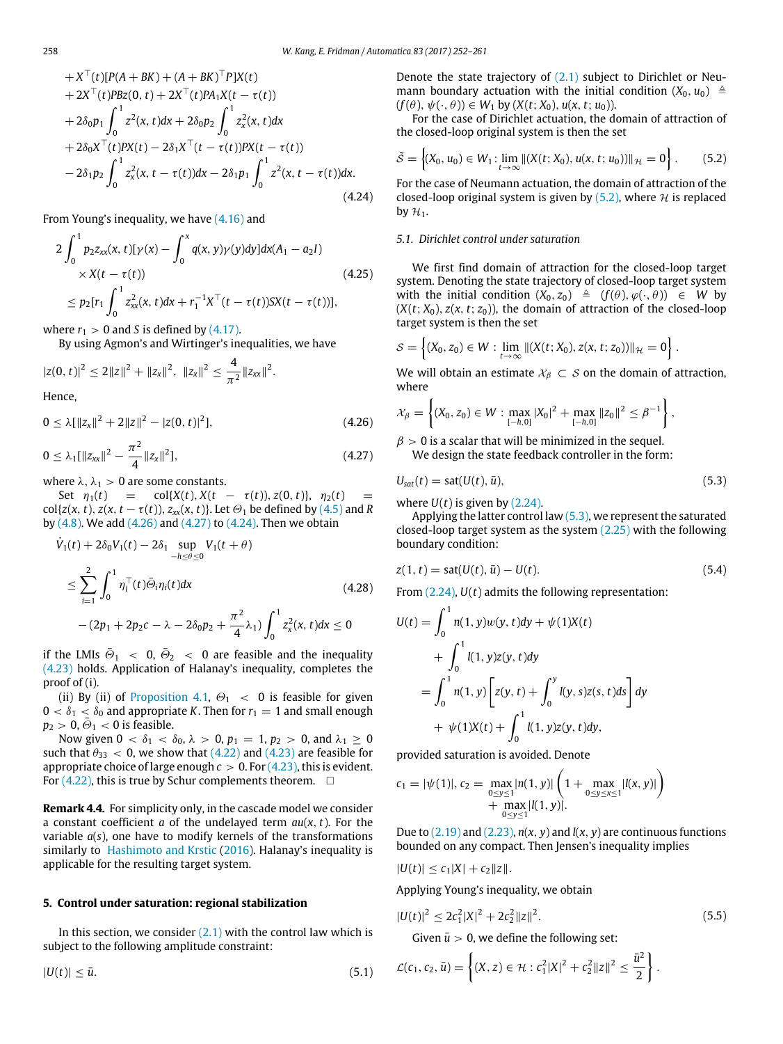+ 
$$
X^{\top}(t)[P(A + BK) + (A + BK)^{\top}P]X(t)
$$
  
\n+  $2X^{\top}(t)PBz(0, t) + 2X^{\top}(t)PA_1X(t - \tau(t))$   
\n+  $2\delta_0p_1 \int_0^1 z^2(x, t)dx + 2\delta_0p_2 \int_0^1 z_x^2(x, t)dx$   
\n+  $2\delta_0X^{\top}(t)PX(t) - 2\delta_1X^{\top}(t - \tau(t))PX(t - \tau(t))$   
\n-  $2\delta_1p_2 \int_0^1 z_x^2(x, t - \tau(t))dx - 2\delta_1p_1 \int_0^1 z^2(x, t - \tau(t))dx.$  (4.24)

From Young's inequality, we have [\(4.16\)](#page-4-8) and

$$
2\int_0^1 p_2 z_{xx}(x, t)[\gamma(x) - \int_0^x q(x, y)\gamma(y)dy]dx(A_1 - a_2I)
$$
  
× X(t - \tau(t))  
≤ p<sub>2</sub>[r<sub>1</sub>  $\int_0^1 z_{xx}^2(x, t)dx + r_1^{-1}X^\top(t - \tau(t))SX(t - \tau(t))],$  (4.25)

where  $r_1 > 0$  and *S* is defined by [\(4.17\).](#page-5-6)

By using Agmon's and Wirtinger's inequalities, we have

$$
|z(0, t)|^2 \leq 2||z||^2 + ||z_x||^2, ||z_x||^2 \leq \frac{4}{\pi^2}||z_{xx}||^2.
$$

Hence,

<span id="page-6-1"></span>
$$
0 \leq \lambda [||z_x||^2 + 2||z||^2 - |z(0, t)|^2], \tag{4.26}
$$

<span id="page-6-2"></span>
$$
0 \leq \lambda_1 [\|z_{xx}\|^2 - \frac{\pi^2}{4} \|z_x\|^2], \tag{4.27}
$$

where  $\lambda$ ,  $\lambda_1 > 0$  are some constants.

Set  $\eta_1(t) = \text{col}\{X(t), X(t - \tau(t)), Z(0, t)\}, \eta_2(t) =$  $col{z(x, t), z(x, t - \tau(t)), z_{xx}(x, t)}$ . Let  $\Theta_1$  be defined by [\(4.5\)](#page-4-3) and *R* by [\(4.8\).](#page-4-12) We add [\(4.26\)](#page-6-1) and [\(4.27\)](#page-6-2) to [\(4.24\).](#page-5-7) Then we obtain

$$
\dot{V}_1(t) + 2\delta_0 V_1(t) - 2\delta_1 \sup_{-h \le \theta \le 0} V_1(t + \theta)
$$
\n
$$
\le \sum_{i=1}^2 \int_0^1 \eta_i^{\top}(t) \bar{\Theta}_i \eta_i(t) dx \qquad (4.28)
$$
\n
$$
-(2p_1 + 2p_2 c - \lambda - 2\delta_0 p_2 + \frac{\pi^2}{4} \lambda_1) \int_0^1 z_x^2(x, t) dx \le 0
$$

if the LMIs  $\bar{\Theta}_1$   $\ < \ 0, \ \bar{\Theta}_2 \ < \ 0$  are feasible and the inequality [\(4.23\)](#page-5-5) holds. Application of Halanay's inequality, completes the proof of (i).

(ii) By (ii) of [Proposition 4.1,](#page-4-1)  $\Theta_1$  < 0 is feasible for given  $0 < \delta_1 < \delta_0$  and appropriate *K*. Then for  $r_1 = 1$  and small enough  $p_2 > 0$ ,  $\bar{\Theta}_1 < 0$  is feasible.

Now given  $0 < \delta_1 < \delta_0$ ,  $\lambda > 0$ ,  $p_1 = 1$ ,  $p_2 > 0$ , and  $\lambda_1 \ge 0$ such that  $\theta_{33}$  < 0, we show that [\(4.22\)](#page-5-8) and [\(4.23\)](#page-5-5) are feasible for appropriate choice of large enough  $c > 0$ . For  $(4.23)$ , this is evident. For [\(4.22\),](#page-5-8) this is true by Schur complements theorem.  $\Box$ 

**Remark 4.4.** For simplicity only, in the cascade model we consider a constant coefficient *a* of the undelayed term *au*(*x*, *t*). For the variable *a*(*s*), one have to modify kernels of the transformations similarly to [Hashimoto](#page-9-16) [and](#page-9-16) [Krstic](#page-9-16) [\(2016\)](#page-9-16). Halanay's inequality is applicable for the resulting target system.

#### <span id="page-6-0"></span>**5. Control under saturation: regional stabilization**

In this section, we consider  $(2.1)$  with the control law which is subject to the following amplitude constraint:

$$
|U(t)| \le \bar{u}.\tag{5.1}
$$

Denote the state trajectory of [\(2.1\)](#page-1-0) subject to Dirichlet or Neumann boundary actuation with the initial condition  $(X_0, u_0) \triangleq$  $(f(\theta), \psi(\cdot, \theta)) \in W_1$  by  $(X(t; X_0), u(x, t; u_0))$ .

For the case of Dirichlet actuation, the domain of attraction of the closed-loop original system is then the set

<span id="page-6-3"></span>
$$
\tilde{S} = \left\{ (X_0, u_0) \in W_1 : \lim_{t \to \infty} ||(X(t; X_0), u(x, t; u_0))||_{\mathcal{H}} = 0 \right\}.
$$
 (5.2)

For the case of Neumann actuation, the domain of attraction of the closed-loop original system is given by  $(5.2)$ , where  $\mathcal H$  is replaced by  $\mathcal{H}_1$ .

#### *5.1. Dirichlet control under saturation*

We first find domain of attraction for the closed-loop target system. Denoting the state trajectory of closed-loop target system with the initial condition  $(X_0, z_0) \triangleq (f(\theta), \varphi(\cdot, \theta)) \in W$  by  $(X(t; X_0), z(x, t; z_0))$ , the domain of attraction of the closed-loop target system is then the set

$$
S = \left\{ (X_0, z_0) \in W : \lim_{t \to \infty} ||(X(t; X_0), z(x, t; z_0))||_{\mathcal{H}} = 0 \right\}.
$$

We will obtain an estimate  $\mathcal{X}_{\beta} \subset \mathcal{S}$  on the domain of attraction, where

$$
\mathcal{X}_{\beta} = \left\{ (X_0, z_0) \in W : \max_{[-h,0]} |X_0|^2 + \max_{[-h,0]} ||z_0||^2 \leq \beta^{-1} \right\},\
$$

 $\beta > 0$  is a scalar that will be minimized in the sequel. We design the state feedback controller in the form:

<span id="page-6-4"></span>
$$
U_{sat}(t) = sat(U(t), \bar{u}), \qquad (5.3)
$$

where  $U(t)$  is given by  $(2.24)$ .

Applying the latter control law  $(5.3)$ , we represent the saturated closed-loop target system as the system [\(2.25\)](#page-3-1) with the following boundary condition:

<span id="page-6-6"></span>
$$
z(1, t) = sat(U(t), \bar{u}) - U(t).
$$
\n(5.4)

From [\(2.24\),](#page-2-4) *U*(*t*) admits the following representation:

$$
U(t) = \int_0^1 n(1, y)w(y, t)dy + \psi(1)X(t)
$$
  
+ 
$$
\int_0^1 l(1, y)z(y, t)dy
$$
  
= 
$$
\int_0^1 n(1, y) \left[ z(y, t) + \int_0^y l(y, s)z(s, t)ds \right] dy
$$
  
+ 
$$
\psi(1)X(t) + \int_0^1 l(1, y)z(y, t)dy,
$$

provided saturation is avoided. Denote

$$
c_1 = |\psi(1)|, c_2 = \max_{\substack{0 \le y \le 1 \\ y \le y \le 1}} |n(1, y)| \left(1 + \max_{\substack{0 \le y \le x \le 1}} |l(x, y)|\right) + \max_{\substack{0 \le y \le 1}} |l(x, y)|
$$

Due to  $(2.19)$  and  $(2.23)$ ,  $n(x, y)$  and  $l(x, y)$  are continuous functions bounded on any compact. Then Jensen's inequality implies

$$
|U(t)| \leq c_1 |X| + c_2 \|z\|.
$$

Applying Young's inequality, we obtain

<span id="page-6-5"></span>
$$
|U(t)|^2 \le 2c_1^2 |X|^2 + 2c_2^2 ||z||^2.
$$
 (5.5)  
Given  $\bar{u} > 0$ , we define the following set:

$$
\mathcal{L}(c_1, c_2, \bar{u}) = \left\{ (X, z) \in \mathcal{H} : c_1^2 |X|^2 + c_2^2 \|z\|^2 \leq \frac{\bar{u}^2}{2} \right\}.
$$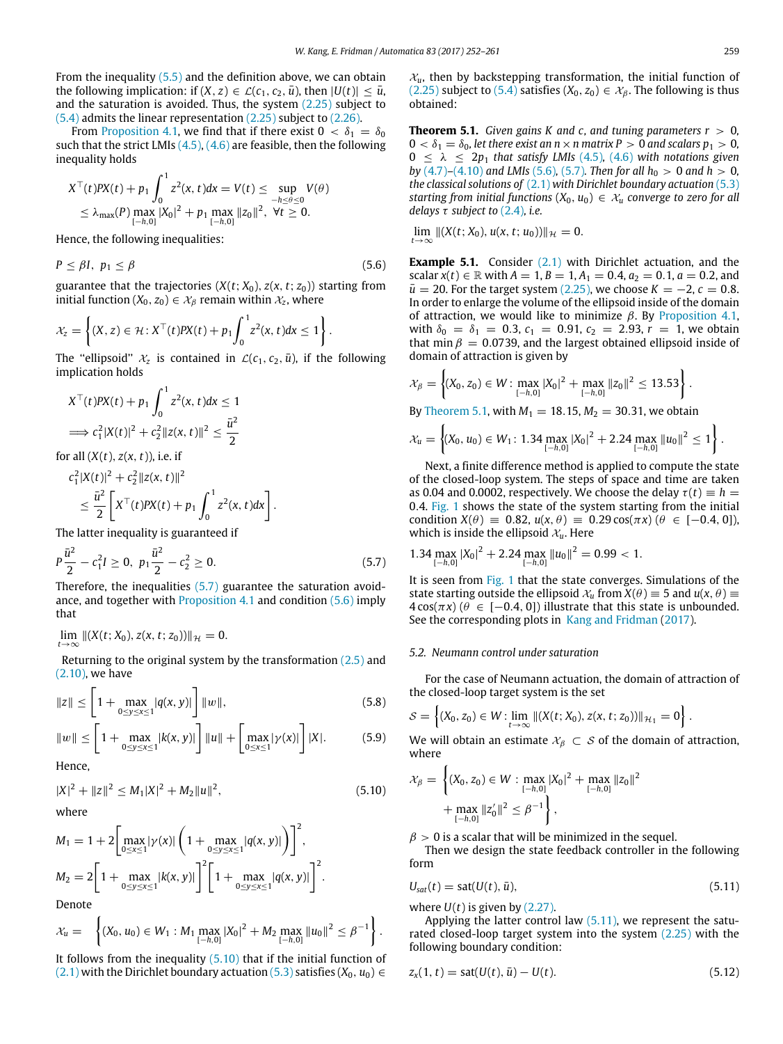From the inequality  $(5.5)$  and the definition above, we can obtain the following implication: if  $(X, z) \in \mathcal{L}(c_1, c_2, \bar{u})$ , then  $|U(t)| \leq \bar{u}$ , and the saturation is avoided. Thus, the system [\(2.25\)](#page-3-1) subject to [\(5.4\)](#page-6-6) admits the linear representation [\(2.25\)](#page-3-1) subject to [\(2.26\).](#page-3-2)

From [Proposition 4.1,](#page-4-1) we find that if there exist  $0 < \delta_1 = \delta_0$ such that the strict LMIs  $(4.5)$ ,  $(4.6)$  are feasible, then the following inequality holds

$$
X^{\top}(t)PX(t) + p_1 \int_0^1 z^2(x, t) dx = V(t) \le \sup_{-h \le \theta \le 0} V(\theta)
$$
  
 
$$
\le \lambda_{\max}(P) \max_{[-h,0]} |X_0|^2 + p_1 \max_{[-h,0]} ||z_0||^2, \ \forall t \ge 0.
$$

Hence, the following inequalities:

<span id="page-7-1"></span>
$$
P \leq \beta I, \ p_1 \leq \beta \tag{5.6}
$$

guarantee that the trajectories  $(X(t; X_0), Z(x, t; z_0))$  starting from initial function ( $X_0, z_0$ )  $\in \mathcal{X}_\beta$  remain within  $\mathcal{X}_z$ , where

$$
\mathcal{X}_z = \left\{ (X,z) \in \mathcal{H} : X^\top(t)PX(t) + p_1 \int_0^1 z^2(x,t)dx \leq 1 \right\}.
$$

The "ellipsoid"  $\mathcal{X}_z$  is contained in  $\mathcal{L}(c_1, c_2, \bar{u})$ , if the following implication holds

$$
X^{\top}(t)PX(t) + p_1 \int_0^1 z^2(x, t)dx \le 1
$$
  
\n
$$
\implies c_1^2 |X(t)|^2 + c_2^2 ||z(x, t)||^2 \le \frac{\bar{u}^2}{2}
$$

for all  $(X(t), z(x, t))$ , i.e. if

$$
c_1^2 |X(t)|^2 + c_2^2 ||z(x, t)||^2
$$
  
\n
$$
\leq \frac{\bar{u}^2}{2} \left[ X^\top(t) P X(t) + p_1 \int_0^1 z^2(x, t) dx \right].
$$

The latter inequality is guaranteed if

<span id="page-7-0"></span>
$$
P\frac{\bar{u}^2}{2} - c_1^2 I \ge 0, \ p_1 \frac{\bar{u}^2}{2} - c_2^2 \ge 0.
$$
 (5.7)

Therefore, the inequalities [\(5.7\)](#page-7-0) guarantee the saturation avoidance, and together with [Proposition 4.1](#page-4-1) and condition [\(5.6\)](#page-7-1) imply that

$$
\lim_{t \to \infty} \|(X(t; X_0), z(x, t; z_0))\|_{\mathcal{H}} = 0.
$$

Returning to the original system by the transformation  $(2.5)$  and [\(2.10\),](#page-1-7) we have

<span id="page-7-6"></span>
$$
||z|| \le \left[1 + \max_{0 \le y \le x \le 1} |q(x, y)|\right] ||w||, \tag{5.8}
$$

<span id="page-7-7"></span>
$$
||w|| \le \left[1 + \max_{0 \le y \le x \le 1} |k(x, y)|\right] ||u|| + \left[\max_{0 \le x \le 1} |\gamma(x)|\right] |X|.
$$
 (5.9)  
Hence,

<span id="page-7-2"></span>
$$
|X|^2 + ||z||^2 \le M_1 |X|^2 + M_2 ||u||^2,
$$

where

$$
M_1 = 1 + 2 \left[ \max_{0 \le x \le 1} |\gamma(x)| \left( 1 + \max_{0 \le y \le x \le 1} |q(x, y)| \right) \right]^2,
$$
  
\n
$$
M_2 = 2 \left[ 1 + \max_{0 \le y \le x \le 1} |k(x, y)| \right]^2 \left[ 1 + \max_{0 \le y \le x \le 1} |q(x, y)| \right]^2.
$$

Denote

$$
\mathcal{X}_u = \left\{ (X_0, u_0) \in W_1 : M_1 \max_{[-h,0]} |X_0|^2 + M_2 \max_{[-h,0]} ||u_0||^2 \leq \beta^{-1} \right\}.
$$

It follows from the inequality  $(5.10)$  that if the initial function of [\(2.1\)](#page-1-0) with the Dirichlet boundary actuation [\(5.3\)](#page-6-4) satisfies ( $X_0$ ,  $u_0$ ) ∈  $x<sub>u</sub>$ , then by backstepping transformation, the initial function of [\(2.25\)](#page-3-1) subject to [\(5.4\)](#page-6-6) satisfies  $(X_0, z_0) \in X_\beta$ . The following is thus obtained:

<span id="page-7-3"></span>**Theorem 5.1.** *Given gains K and c, and tuning parameters*  $r > 0$ *,*  $0 < \delta_1 = \delta_0$ , let there exist an  $n \times n$  matrix  $P > 0$  and scalars  $p_1 > 0$ ,  $0 \leq \lambda \leq 2p_1$  *that satisfy LMIs* [\(4.5\)](#page-4-3), [\(4.6\)](#page-4-4) with notations given *by* [\(4.7\)](#page-4-11)–[\(4.10\)](#page-4-13) *and LMIs* [\(5.6\)](#page-7-1), [\(5.7\)](#page-7-0)*. Then for all*  $h_0 > 0$  *and*  $h > 0$ *, the classical solutions of* [\(2.1\)](#page-1-0) *with Dirichlet boundary actuation* [\(5.3\)](#page-6-4) *starting from initial functions*  $(X_0, u_0) \in X_u$  *converge to zero for all delays* τ *subject to* [\(2.4\)](#page-1-11)*, i.e.*

 $\lim_{t\to\infty}$   $\|(X(t; X_0), u(x, t; u_0))\|_{\mathcal{H}} = 0.$ 

**Example 5.1.** Consider [\(2.1\)](#page-1-0) with Dirichlet actuation, and the scalar  $x(t) \in \mathbb{R}$  with  $A = 1$ ,  $B = 1$ ,  $A_1 = 0.4$ ,  $a_2 = 0.1$ ,  $a = 0.2$ , and  $\bar{u}$  = 20. For the target system [\(2.25\),](#page-3-1) we choose *K* = −2, *c* = 0.8. In order to enlarge the volume of the ellipsoid inside of the domain of attraction, we would like to minimize  $\beta$ . By [Proposition 4.1,](#page-4-1) with  $\delta_0 = \delta_1 = 0.3$ ,  $c_1 = 0.91$ ,  $c_2 = 2.93$ ,  $r = 1$ , we obtain that min  $\beta = 0.0739$ , and the largest obtained ellipsoid inside of domain of attraction is given by

$$
\mathcal{X}_{\beta} = \left\{ (X_0, z_0) \in W : \max_{[-h,0]} |X_0|^2 + \max_{[-h,0]} ||z_0||^2 \le 13.53 \right\}.
$$

By [Theorem 5.1,](#page-7-3) with  $M_1 = 18.15$ ,  $M_2 = 30.31$ , we obtain

$$
\mathcal{X}_u = \left\{ (X_0, u_0) \in W_1 \colon 1.34 \max_{[-h,0]} |X_0|^2 + 2.24 \max_{[-h,0]} ||u_0||^2 \le 1 \right\}.
$$

Next, a finite difference method is applied to compute the state of the closed-loop system. The steps of space and time are taken as 0.04 and 0.0002, respectively. We choose the delay  $\tau(t) \equiv h$  = 0.4. [Fig. 1](#page-8-0) shows the state of the system starting from the initial condition  $X(\theta) = 0.82$ ,  $u(x, \theta) = 0.29 \cos(\pi x) (\theta \in [-0.4, 0]),$ which is inside the ellipsoid  $\mathcal{X}_u$ . Here

$$
1.34 \max_{[-h,0]} |X_0|^2 + 2.24 \max_{[-h,0]} ||u_0||^2 = 0.99 < 1.
$$

It is seen from [Fig. 1](#page-8-0) that the state converges. Simulations of the state starting outside the ellipsoid  $\mathcal{X}_u$  from  $X(\theta) \equiv 5$  and  $u(x, \theta) \equiv$  $4\cos(\pi x)$  ( $\theta \in [-0.4, 0]$ ) illustrate that this state is unbounded. See the corresponding plots in [Kang](#page-9-29) [and](#page-9-29) [Fridman](#page-9-29) [\(2017\)](#page-9-29).

#### *5.2. Neumann control under saturation*

For the case of Neumann actuation, the domain of attraction of the closed-loop target system is the set

$$
S = \left\{ (X_0, z_0) \in W : \lim_{t \to \infty} ||(X(t; X_0), z(x, t; z_0))||_{\mathcal{H}_1} = 0 \right\}.
$$

We will obtain an estimate  $\mathcal{X}_{\beta} \subset \mathcal{S}$  of the domain of attraction, where

$$
\mathcal{X}_{\beta} = \left\{ (X_0, z_0) \in W : \max_{[-h,0]} |X_0|^2 + \max_{[-h,0]} \|z_0\|^2 + \max_{[-h,0]} \|z_0\|^2 \le \beta^{-1} \right\},\
$$

 $\beta > 0$  is a scalar that will be minimized in the sequel.

Then we design the state feedback controller in the following form

<span id="page-7-4"></span>
$$
U_{sat}(t) = sat(U(t), \bar{u}), \qquad (5.11)
$$

where  $U(t)$  is given by  $(2.27)$ .

 $(5.10)$ 

Applying the latter control law [\(5.11\),](#page-7-4) we represent the saturated closed-loop target system into the system [\(2.25\)](#page-3-1) with the following boundary condition:

<span id="page-7-5"></span>
$$
z_x(1, t) = sat(U(t), \bar{u}) - U(t).
$$
\n(5.12)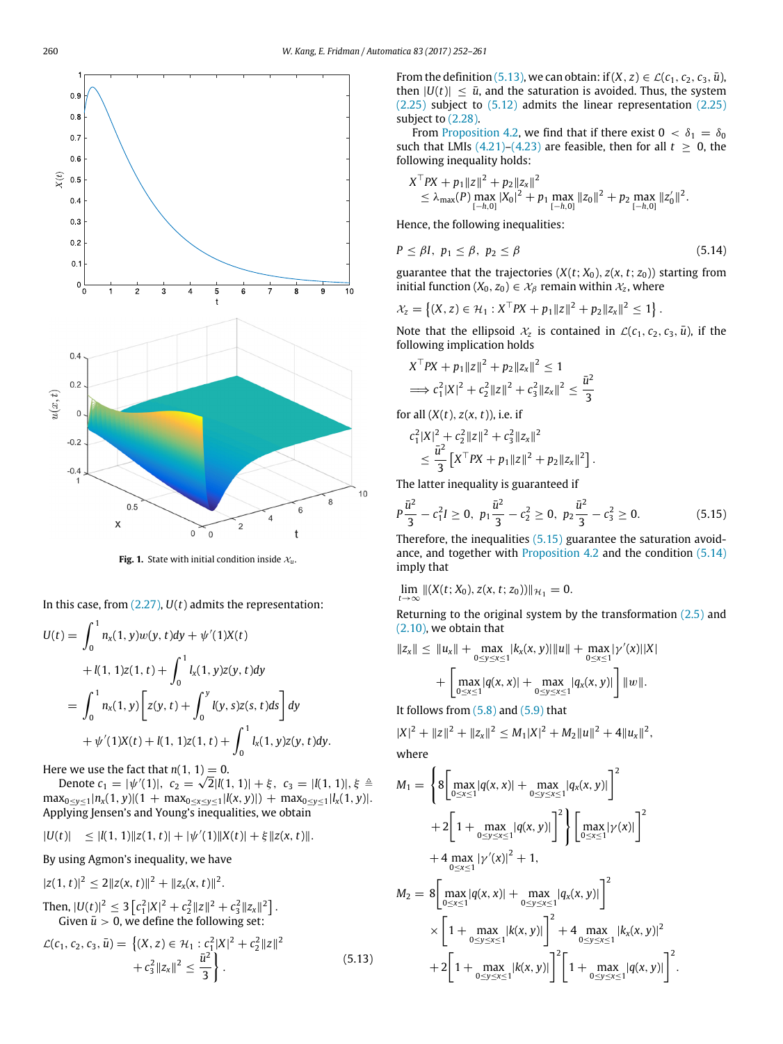<span id="page-8-0"></span>

**Fig. 1.** State with initial condition inside  $x_u$ .

In this case, from [\(2.27\),](#page-3-3) *U*(*t*) admits the representation:

$$
U(t) = \int_0^1 n_x(1, y)w(y, t)dy + \psi'(1)X(t)
$$
  
+  $l(1, 1)Z(1, t) + \int_0^1 l_x(1, y)Z(y, t)dy$   
=  $\int_0^1 n_x(1, y) \left[ Z(y, t) + \int_0^y l(y, s)Z(s, t)ds \right] dy$   
+  $\psi'(1)X(t) + l(1, 1)Z(1, t) + \int_0^1 l_x(1, y)Z(y, t)dy.$ 

Here we use the fact that  $n(1, 1) = 0$ .

Denote  $c_1 = |\psi'(1)|$ ,  $c_2 = \sqrt{2}|\ell(1, 1)| + \xi$ ,  $c_3 = |\ell(1, 1)|, \xi \triangleq$  $\max_{0 \leq y \leq 1} |n_x(1, y)|(1 + \max_{0 \leq x \leq y \leq 1} |l(x, y)|) + \max_{0 \leq y \leq 1} |l_x(1, y)|$ . Applying Jensen's and Young's inequalities, we obtain

$$
|U(t)| \leq |l(1,1)||z(1,t)| + |\psi'(1)||X(t)| + \xi ||z(x,t)||.
$$

By using Agmon's inequality, we have

$$
|z(1, t)|^2 \le 2||z(x, t)||^2 + ||z_x(x, t)||^2.
$$
  
Then, 
$$
|U(t)|^2 \le 3\left[c_1^2|X|^2 + c_2^2||z||^2 + c_3^2||z_x||^2\right].
$$

Given  $\bar{u} > 0$ , we define the following set:

<span id="page-8-1"></span>
$$
\mathcal{L}(c_1, c_2, c_3, \bar{u}) = \left\{ (X, z) \in \mathcal{H}_1 : c_1^2 |X|^2 + c_2^2 \|z\|^2 + c_3^2 \|z_x\|^2 \le \frac{\bar{u}^2}{3} \right\}.
$$
\n(5.13)

From the definition [\(5.13\),](#page-8-1) we can obtain: if  $(X, z) \in \mathcal{L}(c_1, c_2, c_3, \bar{u})$ , then  $|U(t)| \leq \bar{u}$ , and the saturation is avoided. Thus, the system [\(2.25\)](#page-3-1) subject to [\(5.12\)](#page-7-5) admits the linear representation [\(2.25\)](#page-3-1) subject to  $(2.28)$ .

From [Proposition 4.2,](#page-5-0) we find that if there exist  $0 < \delta_1 = \delta_0$ such that LMIs [\(4.21\)](#page-5-4)[–\(4.23\)](#page-5-5) are feasible, then for all  $t \geq 0$ , the following inequality holds:

$$
X^{\top}PX + p_1||z||^2 + p_2||z_x||^2
$$
  
\n
$$
\leq \lambda_{\max}(P) \max_{[-h,0]} |X_0|^2 + p_1 \max_{[-h,0]} ||z_0||^2 + p_2 \max_{[-h,0]} ||z'_0||^2.
$$

Hence, the following inequalities:

<span id="page-8-3"></span>
$$
P \leq \beta I, \ p_1 \leq \beta, \ p_2 \leq \beta \tag{5.14}
$$

guarantee that the trajectories  $(X(t; X_0), z(x, t; z_0))$  starting from initial function  $(X_0, z_0) \in \mathcal{X}_\beta$  remain within  $\mathcal{X}_z$ , where

$$
\mathcal{X}_z = \left\{ (X, z) \in \mathcal{H}_1 : X^\top P X + p_1 \|z\|^2 + p_2 \|z_x\|^2 \leq 1 \right\}.
$$

Note that the ellipsoid  $\mathcal{X}_z$  is contained in  $\mathcal{L}(c_1, c_2, c_3, \bar{u})$ , if the following implication holds

$$
X^{\top}PX + p_1 ||z||^2 + p_2 ||z_x||^2 \le 1
$$
  
\n
$$
\implies c_1^2 |X|^2 + c_2^2 ||z||^2 + c_3^2 ||z_x||^2 \le \frac{\bar{u}^2}{3}
$$

for all (*X*(*t*), *z*(*x*, *t*)), i.e. if

$$
c_1^2 |X|^2 + c_2^2 \|z\|^2 + c_3^2 \|z_x\|^2
$$
  
\n
$$
\leq \frac{\bar{u}^2}{3} \left[ X^{\top} P X + p_1 \|z\|^2 + p_2 \|z_x\|^2 \right].
$$

The latter inequality is guaranteed if

<span id="page-8-2"></span>
$$
P\frac{\bar{u}^2}{3} - c_1^2 I \ge 0, \ p_1 \frac{\bar{u}^2}{3} - c_2^2 \ge 0, \ p_2 \frac{\bar{u}^2}{3} - c_3^2 \ge 0. \tag{5.15}
$$

Therefore, the inequalities [\(5.15\)](#page-8-2) guarantee the saturation avoidance, and together with [Proposition 4.2](#page-5-0) and the condition [\(5.14\)](#page-8-3) imply that

$$
\lim_{t\to\infty} \|(X(t;X_0),z(x,t;z_0))\|_{\mathcal{H}_1}=0.
$$

Returning to the original system by the transformation  $(2.5)$  and [\(2.10\),](#page-1-7) we obtain that

$$
||z_x|| \le ||u_x|| + \max_{0 \le y \le x \le 1} |k_x(x, y)| ||u|| + \max_{0 \le x \le 1} |\gamma'(x)||X|
$$
  
+ 
$$
\left[ \max_{0 \le x \le 1} |q(x, x)| + \max_{0 \le y \le x \le 1} |q_x(x, y)| \right] ||w||.
$$

It follows from  $(5.8)$  and  $(5.9)$  that

$$
|X|^2 + \|z\|^2 + \|z_x\|^2 \le M_1 |X|^2 + M_2 \|u\|^2 + 4 \|u_x\|^2,
$$

where

$$
M_{1} = \left\{ 8 \left[ \max_{0 \le x \le 1} |q(x, x)| + \max_{0 \le y \le x \le 1} |q_{x}(x, y)| \right]^{2} + 2 \left[ 1 + \max_{0 \le y \le x \le 1} |q(x, y)| \right]^{2} \right\} \left[ \max_{0 \le x \le 1} |\gamma(x)| \right]^{2} + 4 \max_{0 \le x \le 1} |\gamma'(x)|^{2} + 1,
$$
  
\n
$$
M_{2} = 8 \left[ \max_{0 \le x \le 1} |q(x, x)| + \max_{0 \le y \le x \le 1} |q_{x}(x, y)| \right]^{2} + 4 \max_{0 \le y \le x \le 1} |k_{x}(x, y)|^{2} + 2 \left[ 1 + \max_{0 \le y \le x \le 1} |k(x, y)| \right]^{2} \left[ 1 + \max_{0 \le y \le x \le 1} |q(x, y)| \right]^{2}.
$$